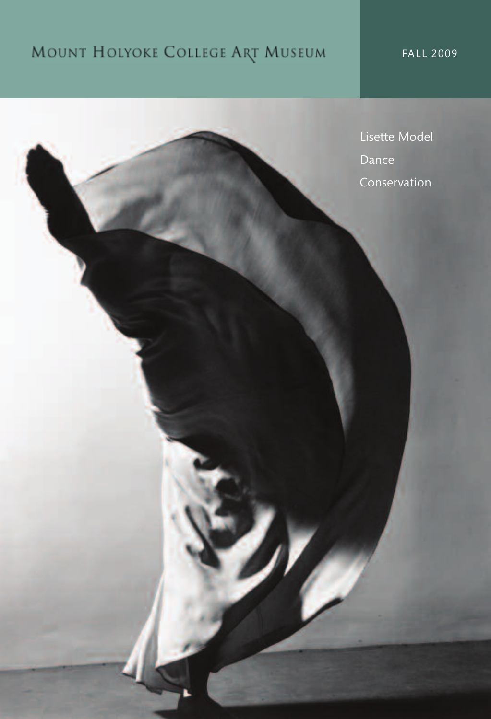# MOUNT HOLYOKE COLLEGE ART MUSEUM

FALL 2009

. .

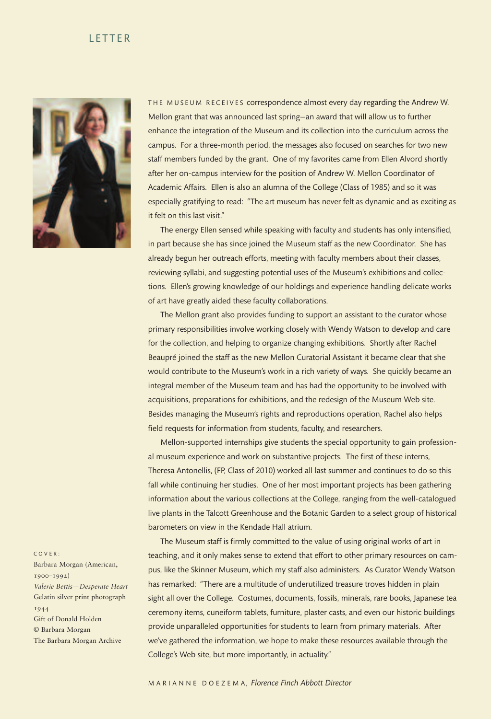### **LETTER**



THE MUSEUM RECEIVES correspondence almost every day regarding the Andrew W. Mellon grant that was announced last spring—an award that will allow us to further enhance the integration of the Museum and its collection into the curriculum across the campus. For a three-month period, the messages also focused on searches for two new staff members funded by the grant. One of my favorites came from Ellen Alvord shortly after her on-campus interview for the position of Andrew W. Mellon Coordinator of Academic Affairs. Ellen is also an alumna of the College (Class of 1985) and so it was especially gratifying to read: "The art museum has never felt as dynamic and as exciting as it felt on this last visit."

The energy Ellen sensed while speaking with faculty and students has only intensified, in part because she has since joined the Museum staff as the new Coordinator. She has already begun her outreach efforts, meeting with faculty members about their classes, reviewing syllabi, and suggesting potential uses of the Museum's exhibitions and collections. Ellen's growing knowledge of our holdings and experience handling delicate works of art have greatly aided these faculty collaborations.

The Mellon grant also provides funding to support an assistant to the curator whose primary responsibilities involve working closely with Wendy Watson to develop and care for the collection, and helping to organize changing exhibitions. Shortly after Rachel Beaupré joined the staff as the new Mellon Curatorial Assistant it became clear that she would contribute to the Museum's work in a rich variety of ways. She quickly became an integral member of the Museum team and has had the opportunity to be involved with acquisitions, preparations for exhibitions, and the redesign of the Museum Web site. Besides managing the Museum's rights and reproductions operation, Rachel also helps field requests for information from students, faculty, and researchers.

Mellon-supported internships give students the special opportunity to gain professional museum experience and work on substantive projects. The first of these interns, Theresa Antonellis, (FP, Class of 2010) worked all last summer and continues to do so this fall while continuing her studies. One of her most important projects has been gathering information about the various collections at the College, ranging from the well-catalogued live plants in the Talcott Greenhouse and the Botanic Garden to a select group of historical barometers on view in the Kendade Hall atrium.

The Museum staff is firmly committed to the value of using original works of art in teaching, and it only makes sense to extend that effort to other primary resources on campus, like the Skinner Museum, which my staff also administers. As Curator Wendy Watson has remarked: "There are a multitude of underutilized treasure troves hidden in plain sight all over the College. Costumes, documents, fossils, minerals, rare books, Japanese tea ceremony items, cuneiform tablets, furniture, plaster casts, and even our historic buildings provide unparalleled opportunities for students to learn from primary materials. After we've gathered the information, we hope to make these resources available through the College's Web site, but more importantly, in actuality."

#### C O V E R :

Barbara Morgan (American, 1900–1992) *Valerie Bettis—Desperate Heart* Gelatin silver print photograph 1944 Gift of Donald Holden © Barbara Morgan The Barbara Morgan Archive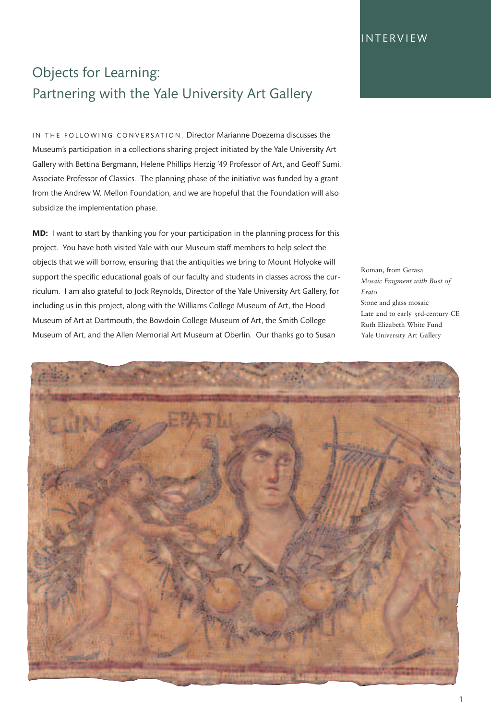**INTERVIEW** 

# Objects for Learning: Partnering with the Yale University Art Gallery

IN THE FOLLOWING CONVERSATION, Director Marianne Doezema discusses the Museum's participation in a collections sharing project initiated by the Yale University Art Gallery with Bettina Bergmann, Helene Phillips Herzig '49 Professor of Art, and Geoff Sumi, Associate Professor of Classics. The planning phase of the initiative was funded by a grant from the Andrew W. Mellon Foundation, and we are hopeful that the Foundation will also subsidize the implementation phase.

**MD:** I want to start by thanking you for your participation in the planning process for this project. You have both visited Yale with our Museum staff members to help select the objects that we will borrow, ensuring that the antiquities we bring to Mount Holyoke will support the specific educational goals of our faculty and students in classes across the curriculum. I am also grateful to Jock Reynolds, Director of the Yale University Art Gallery, for including us in this project, along with the Williams College Museum of Art, the Hood Museum of Art at Dartmouth, the Bowdoin College Museum of Art, the Smith College Museum of Art, and the Allen Memorial Art Museum at Oberlin. Our thanks go to Susan

Roman, from Gerasa *Mosaic Fragment with Bust of Erato* Stone and glass mosaic Late 2nd to early 3rd-century CE Ruth Elizabeth White Fund Yale University Art Gallery

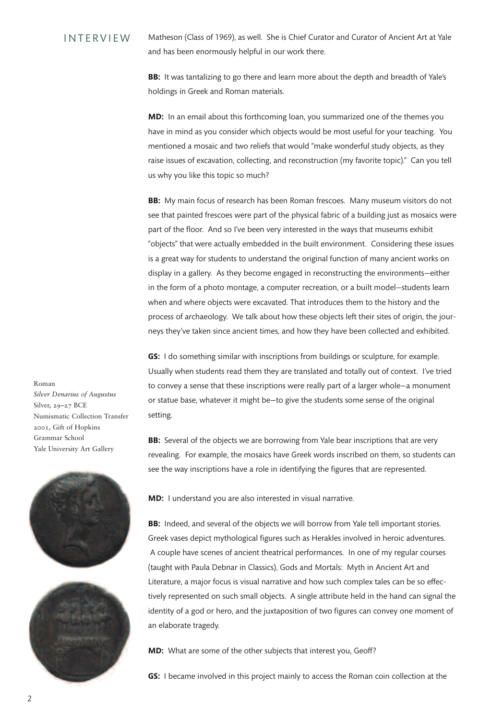#### Matheson (Class of 1969), as well. She is Chief Curator and Curator of Ancient Art at Yale and has been enormously helpful in our work there. **INTERVIEW**

**BB:** It was tantalizing to go there and learn more about the depth and breadth of Yale's holdings in Greek and Roman materials.

**MD:** In an email about this forthcoming loan, you summarized one of the themes you have in mind as you consider which objects would be most useful for your teaching. You mentioned a mosaic and two reliefs that would "make wonderful study objects, as they raise issues of excavation, collecting, and reconstruction (my favorite topic)." Can you tell us why you like this topic so much?

**BB:** My main focus of research has been Roman frescoes. Many museum visitors do not see that painted frescoes were part of the physical fabric of a building just as mosaics were part of the floor. And so I've been very interested in the ways that museums exhibit "objects" that were actually embedded in the built environment. Considering these issues is a great way for students to understand the original function of many ancient works on display in a gallery. As they become engaged in reconstructing the environments—either in the form of a photo montage, a computer recreation, or a built model—students learn when and where objects were excavated. That introduces them to the history and the process of archaeology. We talk about how these objects left their sites of origin, the journeys they've taken since ancient times, and how they have been collected and exhibited.

**GS:** I do something similar with inscriptions from buildings or sculpture, for example. Usually when students read them they are translated and totally out of context. I've tried to convey a sense that these inscriptions were really part of a larger whole—a monument or statue base, whatever it might be—to give the students some sense of the original setting.

**BB:** Several of the objects we are borrowing from Yale bear inscriptions that are very revealing. For example, the mosaics have Greek words inscribed on them, so students can see the way inscriptions have a role in identifying the figures that are represented.

**MD:** I understand you are also interested in visual narrative.

**BB:** Indeed, and several of the objects we will borrow from Yale tell important stories. Greek vases depict mythological figures such as Herakles involved in heroic adventures. A couple have scenes of ancient theatrical performances. In one of my regular courses (taught with Paula Debnar in Classics), Gods and Mortals: Myth in Ancient Art and Literature, a major focus is visual narrative and how such complex tales can be so effectively represented on such small objects. A single attribute held in the hand can signal the identity of a god or hero, and the juxtaposition of two figures can convey one moment of an elaborate tragedy.

**MD:** What are some of the other subjects that interest you, Geoff?

**GS:** I became involved in this project mainly to access the Roman coin collection at the

Roman *Silver Denarius of Augustus* Silver, 29–27 BCE Numismatic Collection Transfer 2001, Gift of Hopkins Grammar School Yale University Art Gallery



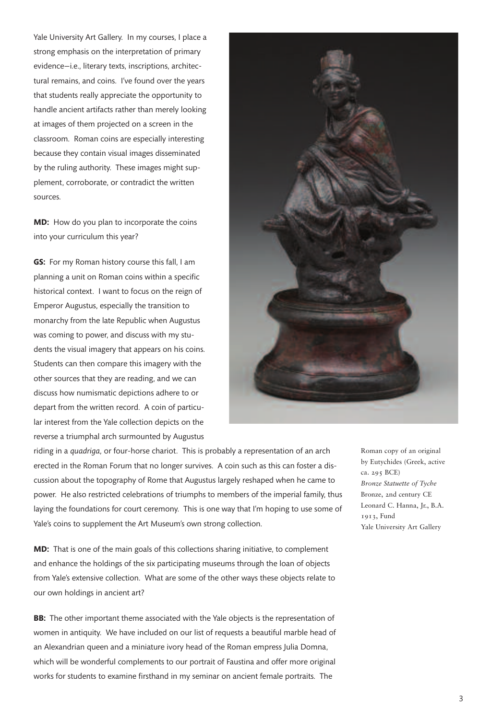Yale University Art Gallery. In my courses, I place a strong emphasis on the interpretation of primary evidence—i.e., literary texts, inscriptions, architectural remains, and coins. I've found over the years that students really appreciate the opportunity to handle ancient artifacts rather than merely looking at images of them projected on a screen in the classroom. Roman coins are especially interesting because they contain visual images disseminated by the ruling authority. These images might supplement, corroborate, or contradict the written sources.

**MD:** How do you plan to incorporate the coins into your curriculum this year?

**GS:** For my Roman history course this fall, I am planning a unit on Roman coins within a specific historical context. I want to focus on the reign of Emperor Augustus, especially the transition to monarchy from the late Republic when Augustus was coming to power, and discuss with my students the visual imagery that appears on his coins. Students can then compare this imagery with the other sources that they are reading, and we can discuss how numismatic depictions adhere to or depart from the written record. A coin of particular interest from the Yale collection depicts on the reverse a triumphal arch surmounted by Augustus



riding in a *quadriga,* or four-horse chariot. This is probably a representation of an arch erected in the Roman Forum that no longer survives. A coin such as this can foster a discussion about the topography of Rome that Augustus largely reshaped when he came to power. He also restricted celebrations of triumphs to members of the imperial family, thus laying the foundations for court ceremony. This is one way that I'm hoping to use some of Yale's coins to supplement the Art Museum's own strong collection.

**MD:** That is one of the main goals of this collections sharing initiative, to complement and enhance the holdings of the six participating museums through the loan of objects from Yale's extensive collection. What are some of the other ways these objects relate to our own holdings in ancient art?

**BB:** The other important theme associated with the Yale objects is the representation of women in antiquity. We have included on our list of requests a beautiful marble head of an Alexandrian queen and a miniature ivory head of the Roman empress Julia Domna, which will be wonderful complements to our portrait of Faustina and offer more original works for students to examine firsthand in my seminar on ancient female portraits. The

Roman copy of an original by Eutychides (Greek, active ca. 295 BCE) *Bronze Statuette of Tyche* Bronze, 2nd century CE Leonard C. Hanna, Jr., B.A. 1913, Fund Yale University Art Gallery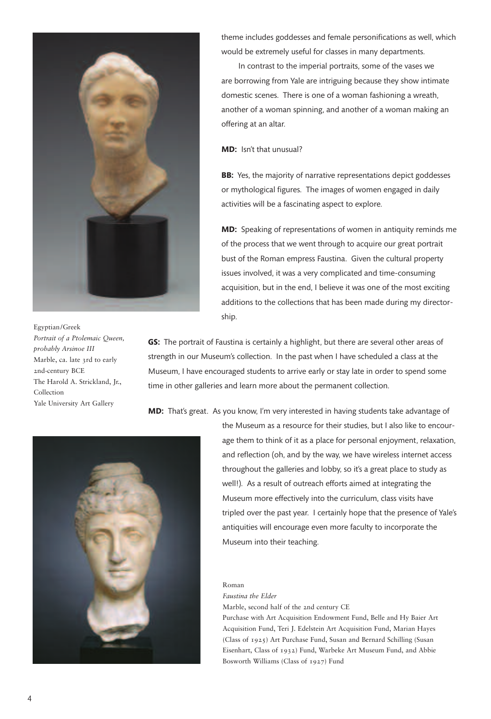

#### Egyptian/Greek

*Portrait of a Ptolemaic Queen, probably Arsinoe III* Marble, ca. late 3rd to early 2nd-century BCE The Harold A. Strickland, Jr., Collection Yale University Art Gallery

theme includes goddesses and female personifications as well, which would be extremely useful for classes in many departments.

In contrast to the imperial portraits, some of the vases we are borrowing from Yale are intriguing because they show intimate domestic scenes. There is one of a woman fashioning a wreath, another of a woman spinning, and another of a woman making an offering at an altar.

**MD:** Isn't that unusual?

**BB:** Yes, the majority of narrative representations depict goddesses or mythological figures. The images of women engaged in daily activities will be a fascinating aspect to explore.

**MD:** Speaking of representations of women in antiquity reminds me of the process that we went through to acquire our great portrait bust of the Roman empress Faustina. Given the cultural property issues involved, it was a very complicated and time-consuming acquisition, but in the end, I believe it was one of the most exciting additions to the collections that has been made during my directorship.

**GS:** The portrait of Faustina is certainly a highlight, but there are several other areas of strength in our Museum's collection. In the past when I have scheduled a class at the Museum, I have encouraged students to arrive early or stay late in order to spend some time in other galleries and learn more about the permanent collection.

**MD:** That's great. As you know, I'm very interested in having students take advantage of



the Museum as a resource for their studies, but I also like to encourage them to think of it as a place for personal enjoyment, relaxation, and reflection (oh, and by the way, we have wireless internet access throughout the galleries and lobby, so it's a great place to study as well!). As a result of outreach efforts aimed at integrating the Museum more effectively into the curriculum, class visits have tripled over the past year. I certainly hope that the presence of Yale's antiquities will encourage even more faculty to incorporate the Museum into their teaching.

### Roman

*Faustina the Elder* Marble, second half of the 2nd century CE

Purchase with Art Acquisition Endowment Fund, Belle and Hy Baier Art Acquisition Fund, Teri J. Edelstein Art Acquisition Fund, Marian Hayes (Class of 1925) Art Purchase Fund, Susan and Bernard Schilling (Susan Eisenhart, Class of 1932) Fund, Warbeke Art Museum Fund, and Abbie Bosworth Williams (Class of 1927) Fund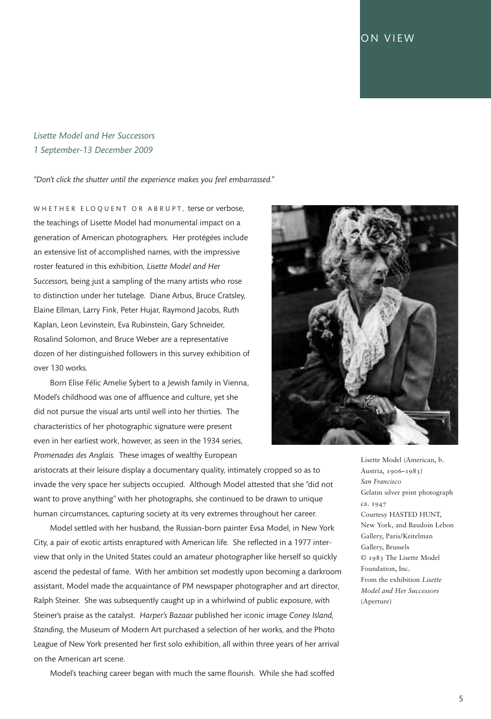### ON VIEW

### *Lisette Model and Her Successors 1 September-13 December 2009*

*"Don't click the shutter until the experience makes you feel embarrassed."*

W H E T H E R E L O Q U E N T O R A B R U P T, terse or verbose, the teachings of Lisette Model had monumental impact on a generation of American photographers. Her protégées include an extensive list of accomplished names, with the impressive roster featured in this exhibition, *Lisette Model and Her Successors,* being just a sampling of the many artists who rose to distinction under her tutelage. Diane Arbus, Bruce Cratsley, Elaine Ellman, Larry Fink, Peter Hujar, Raymond Jacobs, Ruth Kaplan, Leon Levinstein, Eva Rubinstein, Gary Schneider, Rosalind Solomon, and Bruce Weber are a representative dozen of her distinguished followers in this survey exhibition of over 130 works.

Born Elise Félic Amelie Sybert to a Jewish family in Vienna, Model's childhood was one of affluence and culture, yet she did not pursue the visual arts until well into her thirties. The characteristics of her photographic signature were present even in her earliest work, however, as seen in the 1934 series, *Promenades des Anglais.* These images of wealthy European



aristocrats at their leisure display a documentary quality, intimately cropped so as to invade the very space her subjects occupied. Although Model attested that she "did not want to prove anything" with her photographs, she continued to be drawn to unique human circumstances, capturing society at its very extremes throughout her career.

Model settled with her husband, the Russian-born painter Evsa Model, in New York City, a pair of exotic artists enraptured with American life. She reflected in a 1977 interview that only in the United States could an amateur photographer like herself so quickly ascend the pedestal of fame. With her ambition set modestly upon becoming a darkroom assistant, Model made the acquaintance of PM newspaper photographer and art director, Ralph Steiner. She was subsequently caught up in a whirlwind of public exposure, with Steiner's praise as the catalyst. *Harper's Bazaar* published her iconic image *Coney Island, Standing,* the Museum of Modern Art purchased a selection of her works, and the Photo League of New York presented her first solo exhibition, all within three years of her arrival on the American art scene.

Model's teaching career began with much the same flourish. While she had scoffed

Lisette Model (American, b. Austria, 1906–1983) *San Francisco* Gelatin silver print photograph ca. 1947 Courtesy HASTED HUNT, New York, and Baudoin Lebon Gallery, Paris/Keitelman Gallery, Brussels © 1983 The Lisette Model Foundation, Inc. From the exhibition *Lisette Model and Her Successors* (Aperture)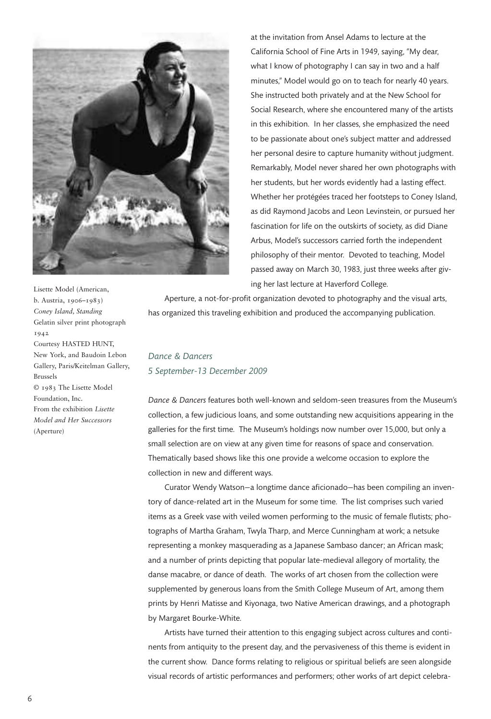

Lisette Model (American, b. Austria, 1906–1983) *Coney Island, Standing* Gelatin silver print photograph 1942 Courtesy HASTED HUNT, New York, and Baudoin Lebon Gallery, Paris/Keitelman Gallery, Brussels © 1983 The Lisette Model Foundation, Inc. From the exhibition *Lisette Model and Her Successors* (Aperture)

at the invitation from Ansel Adams to lecture at the California School of Fine Arts in 1949, saying, "My dear, what I know of photography I can say in two and a half minutes," Model would go on to teach for nearly 40 years. She instructed both privately and at the New School for Social Research, where she encountered many of the artists in this exhibition. In her classes, she emphasized the need to be passionate about one's subject matter and addressed her personal desire to capture humanity without judgment. Remarkably, Model never shared her own photographs with her students, but her words evidently had a lasting effect. Whether her protégées traced her footsteps to Coney Island, as did Raymond Jacobs and Leon Levinstein, or pursued her fascination for life on the outskirts of society, as did Diane Arbus, Model's successors carried forth the independent philosophy of their mentor. Devoted to teaching, Model passed away on March 30, 1983, just three weeks after giving her last lecture at Haverford College.

Aperture, a not-for-profit organization devoted to photography and the visual arts, has organized this traveling exhibition and produced the accompanying publication.

### *Dance & Dancers 5 September-13 December 2009*

*Dance & Dancers* features both well-known and seldom-seen treasures from the Museum's collection, a few judicious loans, and some outstanding new acquisitions appearing in the galleries for the first time. The Museum's holdings now number over 15,000, but only a small selection are on view at any given time for reasons of space and conservation. Thematically based shows like this one provide a welcome occasion to explore the collection in new and different ways.

Curator Wendy Watson—a longtime dance aficionado—has been compiling an inventory of dance-related art in the Museum for some time. The list comprises such varied items as a Greek vase with veiled women performing to the music of female flutists; photographs of Martha Graham, Twyla Tharp, and Merce Cunningham at work; a netsuke representing a monkey masquerading as a Japanese Sambaso dancer; an African mask; and a number of prints depicting that popular late-medieval allegory of mortality, the danse macabre, or dance of death. The works of art chosen from the collection were supplemented by generous loans from the Smith College Museum of Art, among them prints by Henri Matisse and Kiyonaga, two Native American drawings, and a photograph by Margaret Bourke-White.

Artists have turned their attention to this engaging subject across cultures and continents from antiquity to the present day, and the pervasiveness of this theme is evident in the current show. Dance forms relating to religious or spiritual beliefs are seen alongside visual records of artistic performances and performers; other works of art depict celebra-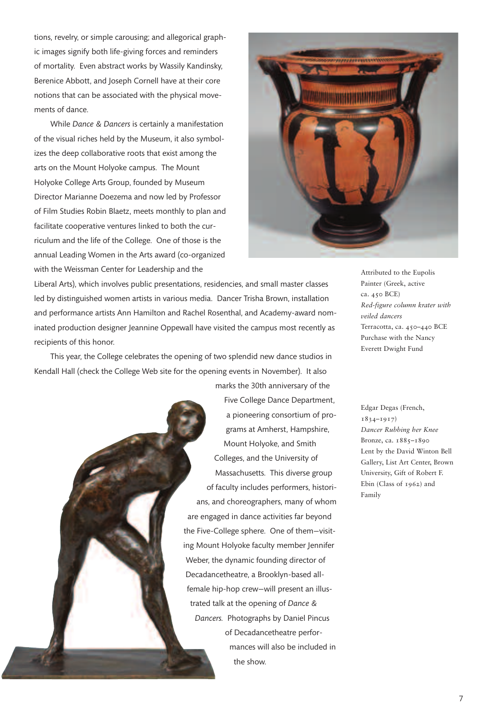tions, revelry, or simple carousing; and allegorical graphic images signify both life-giving forces and reminders of mortality. Even abstract works by Wassily Kandinsky, Berenice Abbott, and Joseph Cornell have at their core notions that can be associated with the physical movements of dance.

While *Dance & Dancers* is certainly a manifestation of the visual riches held by the Museum, it also symbolizes the deep collaborative roots that exist among the arts on the Mount Holyoke campus. The Mount Holyoke College Arts Group, founded by Museum Director Marianne Doezema and now led by Professor of Film Studies Robin Blaetz, meets monthly to plan and facilitate cooperative ventures linked to both the curriculum and the life of the College. One of those is the annual Leading Women in the Arts award (co-organized with the Weissman Center for Leadership and the



Liberal Arts), which involves public presentations, residencies, and small master classes led by distinguished women artists in various media. Dancer Trisha Brown, installation and performance artists Ann Hamilton and Rachel Rosenthal, and Academy-award nominated production designer Jeannine Oppewall have visited the campus most recently as recipients of this honor.

This year, the College celebrates the opening of two splendid new dance studios in Kendall Hall (check the College Web site for the opening events in November). It also marks the 30th anniversary of the

> Five College Dance Department, a pioneering consortium of programs at Amherst, Hampshire, Mount Holyoke, and Smith Colleges, and the University of Massachusetts. This diverse group of faculty includes performers, historians, and choreographers, many of whom are engaged in dance activities far beyond the Five-College sphere. One of them—visiting Mount Holyoke faculty member Jennifer Weber, the dynamic founding director of Decadancetheatre, a Brooklyn-based allfemale hip-hop crew—will present an illustrated talk at the opening of *Dance & Dancers.* Photographs by Daniel Pincus of Decadancetheatre performances will also be included in the show.

Attributed to the Eupolis Painter (Greek, active ca. 450 BCE) *Red-figure column krater with veiled dancers* Terracotta, ca. 450–440 BCE Purchase with the Nancy Everett Dwight Fund

Edgar Degas (French, 1834–1917) *Dancer Rubbing her Knee* Bronze, ca. 1885–1890 Lent by the David Winton Bell Gallery, List Art Center, Brown University, Gift of Robert F. Ebin (Class of 1962) and Family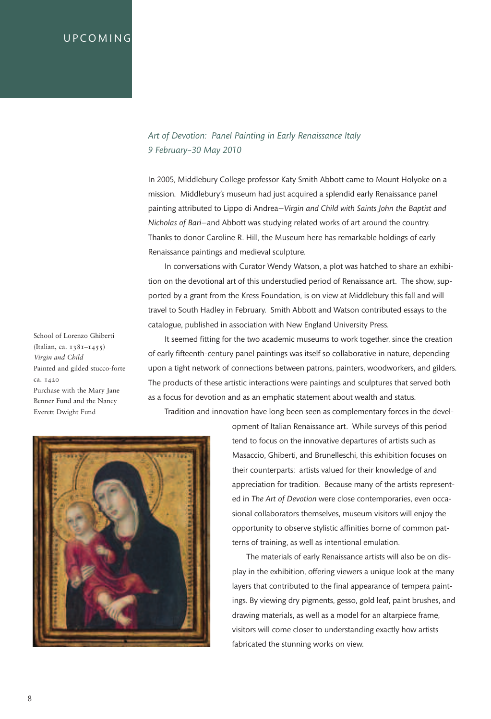### **UPCOMING**

### *Art of Devotion: Panel Painting in Early Renaissance Italy 9 February–30 May 2010*

In 2005, Middlebury College professor Katy Smith Abbott came to Mount Holyoke on a mission. Middlebury's museum had just acquired a splendid early Renaissance panel painting attributed to Lippo di Andrea—*Virgin and Child with Saints John the Baptist and Nicholas of Bari*—and Abbott was studying related works of art around the country. Thanks to donor Caroline R. Hill, the Museum here has remarkable holdings of early Renaissance paintings and medieval sculpture.

In conversations with Curator Wendy Watson, a plot was hatched to share an exhibition on the devotional art of this understudied period of Renaissance art. The show, supported by a grant from the Kress Foundation, is on view at Middlebury this fall and will travel to South Hadley in February. Smith Abbott and Watson contributed essays to the catalogue, published in association with New England University Press.

School of Lorenzo Ghiberti (Italian, ca. 1381–1455) *Virgin and Child* Painted and gilded stucco-forte ca. 1420 Purchase with the Mary Jane Benner Fund and the Nancy Everett Dwight Fund

It seemed fitting for the two academic museums to work together, since the creation of early fifteenth-century panel paintings was itself so collaborative in nature, depending upon a tight network of connections between patrons, painters, woodworkers, and gilders. The products of these artistic interactions were paintings and sculptures that served both as a focus for devotion and as an emphatic statement about wealth and status.

Tradition and innovation have long been seen as complementary forces in the devel-



opment of Italian Renaissance art. While surveys of this period tend to focus on the innovative departures of artists such as Masaccio, Ghiberti, and Brunelleschi, this exhibition focuses on their counterparts: artists valued for their knowledge of and appreciation for tradition. Because many of the artists represented in *The Art of Devotion* were close contemporaries, even occasional collaborators themselves, museum visitors will enjoy the opportunity to observe stylistic affinities borne of common patterns of training, as well as intentional emulation.

The materials of early Renaissance artists will also be on display in the exhibition, offering viewers a unique look at the many layers that contributed to the final appearance of tempera paintings. By viewing dry pigments, gesso, gold leaf, paint brushes, and drawing materials, as well as a model for an altarpiece frame, visitors will come closer to understanding exactly how artists fabricated the stunning works on view.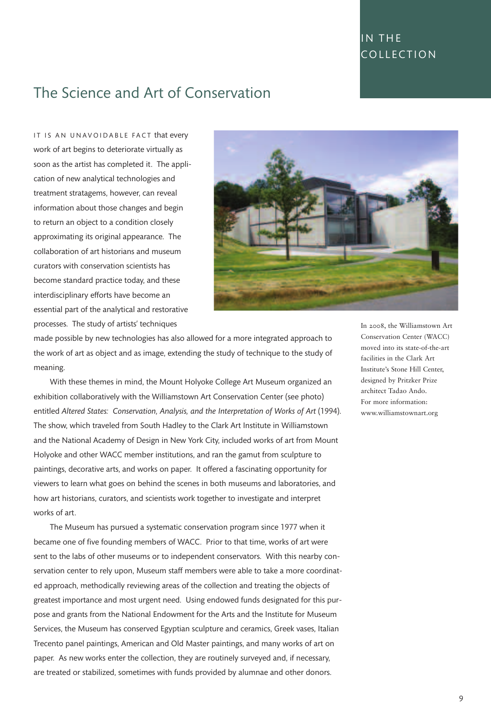# IN THE **COLLECTION**

# The Science and Art of Conservation

IT IS AN UNAVOIDABLE FACT that every work of art begins to deteriorate virtually as soon as the artist has completed it. The application of new analytical technologies and treatment stratagems, however, can reveal information about those changes and begin to return an object to a condition closely approximating its original appearance. The collaboration of art historians and museum curators with conservation scientists has become standard practice today, and these interdisciplinary efforts have become an essential part of the analytical and restorative processes. The study of artists' techniques



made possible by new technologies has also allowed for a more integrated approach to the work of art as object and as image, extending the study of technique to the study of meaning.

With these themes in mind, the Mount Holyoke College Art Museum organized an exhibition collaboratively with the Williamstown Art Conservation Center (see photo) entitled *Altered States: Conservation, Analysis, and the Interpretation of Works of Art* (1994). The show, which traveled from South Hadley to the Clark Art Institute in Williamstown and the National Academy of Design in New York City, included works of art from Mount Holyoke and other WACC member institutions, and ran the gamut from sculpture to paintings, decorative arts, and works on paper. It offered a fascinating opportunity for viewers to learn what goes on behind the scenes in both museums and laboratories, and how art historians, curators, and scientists work together to investigate and interpret works of art.

The Museum has pursued a systematic conservation program since 1977 when it became one of five founding members of WACC. Prior to that time, works of art were sent to the labs of other museums or to independent conservators. With this nearby conservation center to rely upon, Museum staff members were able to take a more coordinated approach, methodically reviewing areas of the collection and treating the objects of greatest importance and most urgent need. Using endowed funds designated for this purpose and grants from the National Endowment for the Arts and the Institute for Museum Services, the Museum has conserved Egyptian sculpture and ceramics, Greek vases, Italian Trecento panel paintings, American and Old Master paintings, and many works of art on paper. As new works enter the collection, they are routinely surveyed and, if necessary, are treated or stabilized, sometimes with funds provided by alumnae and other donors.

In 2008, the Williamstown Art Conservation Center (WACC) moved into its state-of-the-art facilities in the Clark Art Institute's Stone Hill Center, designed by Pritzker Prize architect Tadao Ando. For more information: www.williamstownart.org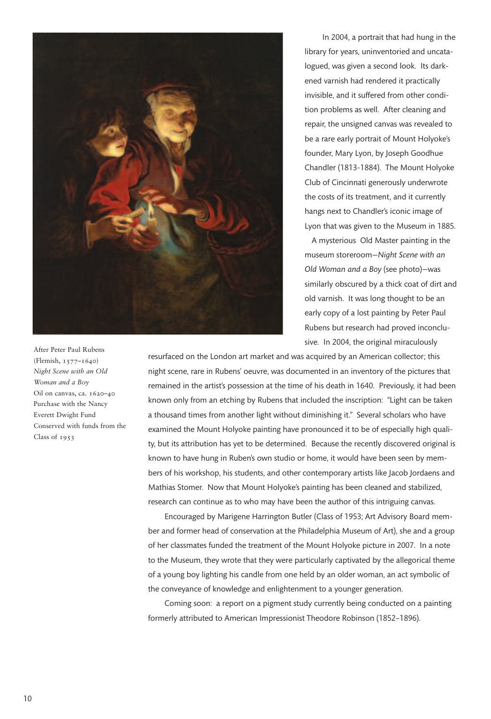

After Peter Paul Rubens (Flemish, 1577–1640) *Night Scene with an Old Woman and a Boy* Oil on canvas, ca. 1620–40 Purchase with the Nancy Everett Dwight Fund Conserved with funds from the Class of 1953

In 2004, a portrait that had hung in the library for years, uninventoried and uncatalogued, was given a second look. Its darkened varnish had rendered it practically invisible, and it suffered from other condition problems as well. After cleaning and repair, the unsigned canvas was revealed to be a rare early portrait of Mount Holyoke's founder, Mary Lyon, by Joseph Goodhue Chandler (1813-1884). The Mount Holyoke Club of Cincinnati generously underwrote the costs of its treatment, and it currently hangs next to Chandler's iconic image of Lyon that was given to the Museum in 1885.

A mysterious Old Master painting in the museum storeroom—*Night Scene with an Old Woman and a Boy* (see photo)—was similarly obscured by a thick coat of dirt and old varnish. It was long thought to be an early copy of a lost painting by Peter Paul Rubens but research had proved inconclusive. In 2004, the original miraculously

resurfaced on the London art market and was acquired by an American collector; this night scene, rare in Rubens' oeuvre, was documented in an inventory of the pictures that remained in the artist's possession at the time of his death in 1640. Previously, it had been known only from an etching by Rubens that included the inscription: "Light can be taken a thousand times from another light without diminishing it." Several scholars who have examined the Mount Holyoke painting have pronounced it to be of especially high quality, but its attribution has yet to be determined. Because the recently discovered original is known to have hung in Ruben's own studio or home, it would have been seen by members of his workshop, his students, and other contemporary artists like Jacob Jordaens and Mathias Stomer. Now that Mount Holyoke's painting has been cleaned and stabilized, research can continue as to who may have been the author of this intriguing canvas.

Encouraged by Marigene Harrington Butler (Class of 1953; Art Advisory Board member and former head of conservation at the Philadelphia Museum of Art), she and a group of her classmates funded the treatment of the Mount Holyoke picture in 2007. In a note to the Museum, they wrote that they were particularly captivated by the allegorical theme of a young boy lighting his candle from one held by an older woman, an act symbolic of the conveyance of knowledge and enlightenment to a younger generation.

Coming soon: a report on a pigment study currently being conducted on a painting formerly attributed to American Impressionist Theodore Robinson (1852–1896).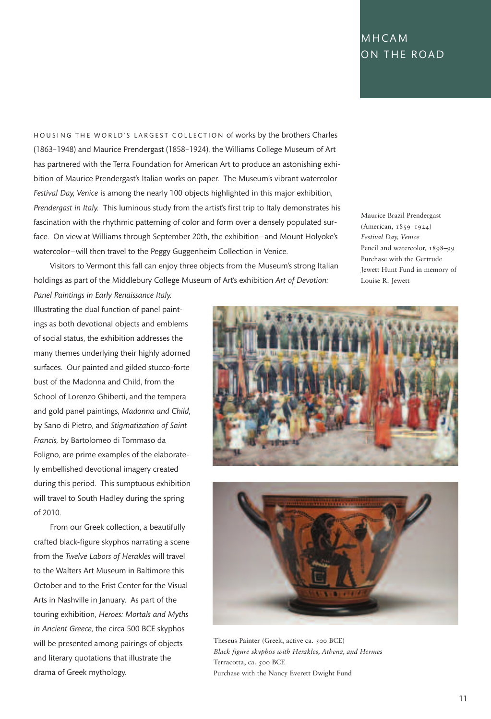## MH CAM ON THE ROAD

HOUSING THE WORLD'S LARGEST COLLECTION of works by the brothers Charles (1863–1948) and Maurice Prendergast (1858–1924), the Williams College Museum of Art has partnered with the Terra Foundation for American Art to produce an astonishing exhibition of Maurice Prendergast's Italian works on paper. The Museum's vibrant watercolor *Festival Day, Venice* is among the nearly 100 objects highlighted in this major exhibition, *Prendergast in Italy.* This luminous study from the artist's first trip to Italy demonstrates his fascination with the rhythmic patterning of color and form over a densely populated surface. On view at Williams through September 20th, the exhibition—and Mount Holyoke's watercolor—will then travel to the Peggy Guggenheim Collection in Venice.

Visitors to Vermont this fall can enjoy three objects from the Museum's strong Italian holdings as part of the Middlebury College Museum of Art's exhibition *Art of Devotion: Panel Paintings in Early Renaissance Italy.*

Maurice Brazil Prendergast (American, 1859–1924) *Festival Day, Venice* Pencil and watercolor, 1898–99 Purchase with the Gertrude Jewett Hunt Fund in memory of Louise R. Jewett

Illustrating the dual function of panel paintings as both devotional objects and emblems of social status, the exhibition addresses the many themes underlying their highly adorned surfaces. Our painted and gilded stucco-forte bust of the Madonna and Child, from the School of Lorenzo Ghiberti, and the tempera and gold panel paintings, *Madonna and Child,* by Sano di Pietro, and *Stigmatization of Saint Francis,* by Bartolomeo di Tommaso da Foligno, are prime examples of the elaborately embellished devotional imagery created during this period. This sumptuous exhibition will travel to South Hadley during the spring of 2010.

From our Greek collection, a beautifully crafted black-figure skyphos narrating a scene from the *Twelve Labors of Herakles* will travel to the Walters Art Museum in Baltimore this October and to the Frist Center for the Visual Arts in Nashville in January. As part of the touring exhibition, *Heroes: Mortals and Myths in Ancient Greece,* the circa 500 BCE skyphos will be presented among pairings of objects and literary quotations that illustrate the drama of Greek mythology.





Theseus Painter (Greek, active ca. 500 BCE) *Black figure skyphos with Herakles, Athena, and Hermes* Terracotta, ca. 500 BCE Purchase with the Nancy Everett Dwight Fund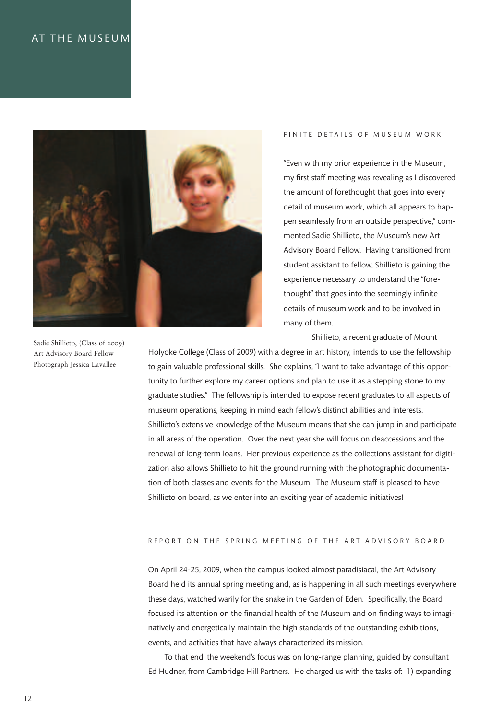## AT THE MUSEUM



FINITE DETAILS OF MUSEUM WORK

"Even with my prior experience in the Museum, my first staff meeting was revealing as I discovered the amount of forethought that goes into every detail of museum work, which all appears to happen seamlessly from an outside perspective," commented Sadie Shillieto, the Museum's new Art Advisory Board Fellow. Having transitioned from student assistant to fellow, Shillieto is gaining the experience necessary to understand the "forethought" that goes into the seemingly infinite details of museum work and to be involved in many of them.

Shillieto, a recent graduate of Mount

Holyoke College (Class of 2009) with a degree in art history, intends to use the fellowship to gain valuable professional skills. She explains, "I want to take advantage of this opportunity to further explore my career options and plan to use it as a stepping stone to my graduate studies." The fellowship is intended to expose recent graduates to all aspects of museum operations, keeping in mind each fellow's distinct abilities and interests. Shillieto's extensive knowledge of the Museum means that she can jump in and participate in all areas of the operation. Over the next year she will focus on deaccessions and the renewal of long-term loans. Her previous experience as the collections assistant for digitization also allows Shillieto to hit the ground running with the photographic documentation of both classes and events for the Museum. The Museum staff is pleased to have Shillieto on board, as we enter into an exciting year of academic initiatives!

#### REPORT ON THE SPRING MEETING OF THE ART ADVISORY BOARD

On April 24-25, 2009, when the campus looked almost paradisiacal, the Art Advisory Board held its annual spring meeting and, as is happening in all such meetings everywhere these days, watched warily for the snake in the Garden of Eden. Specifically, the Board focused its attention on the financial health of the Museum and on finding ways to imaginatively and energetically maintain the high standards of the outstanding exhibitions, events, and activities that have always characterized its mission.

To that end, the weekend's focus was on long-range planning, guided by consultant Ed Hudner, from Cambridge Hill Partners. He charged us with the tasks of: 1) expanding

Sadie Shillieto, (Class of 2009) Art Advisory Board Fellow Photograph Jessica Lavallee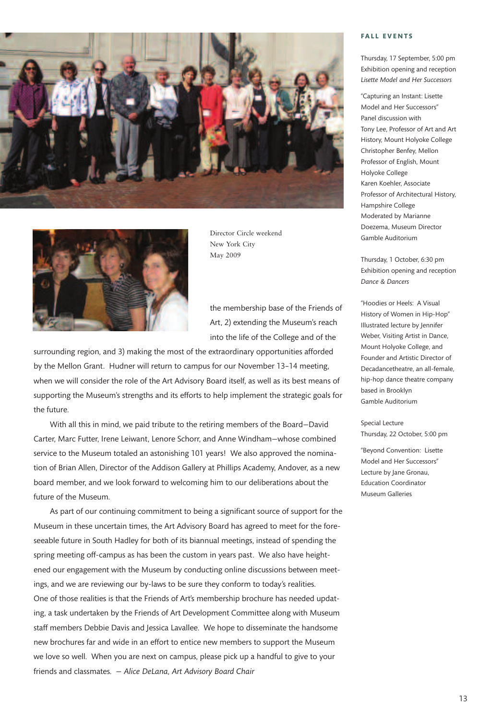



Director Circle weekend New York City May 2009

the membership base of the Friends of Art, 2) extending the Museum's reach into the life of the College and of the

surrounding region, and 3) making the most of the extraordinary opportunities afforded by the Mellon Grant. Hudner will return to campus for our November 13–14 meeting, when we will consider the role of the Art Advisory Board itself, as well as its best means of supporting the Museum's strengths and its efforts to help implement the strategic goals for the future.

With all this in mind, we paid tribute to the retiring members of the Board—David Carter, Marc Futter, Irene Leiwant, Lenore Schorr, and Anne Windham—whose combined service to the Museum totaled an astonishing 101 years! We also approved the nomination of Brian Allen, Director of the Addison Gallery at Phillips Academy, Andover, as a new board member, and we look forward to welcoming him to our deliberations about the future of the Museum.

As part of our continuing commitment to being a significant source of support for the Museum in these uncertain times, the Art Advisory Board has agreed to meet for the foreseeable future in South Hadley for both of its biannual meetings, instead of spending the spring meeting off-campus as has been the custom in years past. We also have heightened our engagement with the Museum by conducting online discussions between meetings, and we are reviewing our by-laws to be sure they conform to today's realities. One of those realities is that the Friends of Art's membership brochure has needed updating, a task undertaken by the Friends of Art Development Committee along with Museum staff members Debbie Davis and Jessica Lavallee. We hope to disseminate the handsome new brochures far and wide in an effort to entice new members to support the Museum we love so well. When you are next on campus, please pick up a handful to give to your friends and classmates. *— Alice DeLana, Art Advisory Board Chair*

#### **FAL L E V E N T S**

Thursday, 17 September, 5:00 pm Exhibition opening and reception *Lisette Model and Her Successors*

"Capturing an Instant: Lisette Model and Her Successors" Panel discussion with Tony Lee, Professor of Art and Art History, Mount Holyoke College Christopher Benfey, Mellon Professor of English, Mount Holyoke College Karen Koehler, Associate Professor of Architectural History, Hampshire College Moderated by Marianne Doezema, Museum Director Gamble Auditorium

Thursday, 1 October, 6:30 pm Exhibition opening and reception *Dance & Dancers*

"Hoodies or Heels: A Visual History of Women in Hip-Hop" Illustrated lecture by Jennifer Weber, Visiting Artist in Dance, Mount Holyoke College, and Founder and Artistic Director of Decadancetheatre, an all-female, hip-hop dance theatre company based in Brooklyn Gamble Auditorium

Special Lecture Thursday, 22 October, 5:00 pm

"Beyond Convention: Lisette Model and Her Successors" Lecture by Jane Gronau, Education Coordinator Museum Galleries